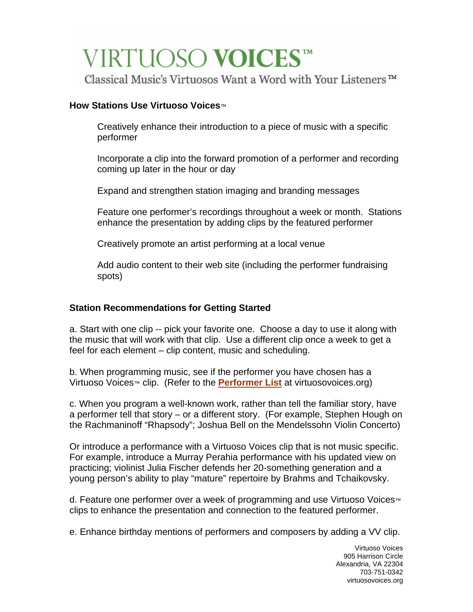# VIRTUOSO VOICES™

Classical Music's Virtuosos Want a Word with Your Listeners™

## **How Stations Use Virtuoso Voices**™

Creatively enhance their introduction to a piece of music with a specific performer

Incorporate a clip into the forward promotion of a performer and recording coming up later in the hour or day

Expand and strengthen station imaging and branding messages

Feature one performer's recordings throughout a week or month. Stations enhance the presentation by adding clips by the featured performer

Creatively promote an artist performing at a local venue

Add audio content to their web site (including the performer fundraising spots)

## **Station Recommendations for Getting Started**

a. Start with one clip -- pick your favorite one. Choose a day to use it along with the music that will work with that clip. Use a different clip once a week to get a feel for each element – clip content, music and scheduling.

b. When programming music, see if the performer you have chosen has a Virtuoso Voices™ clip. (Refer to the **[Performer List](http://www.virtuosovoices.org/performers/)** at virtuosovoices.org)

c. When you program a well-known work, rather than tell the familiar story, have a performer tell that story – or a different story. (For example, Stephen Hough on the Rachmaninoff "Rhapsody"; Joshua Bell on the Mendelssohn Violin Concerto)

Or introduce a performance with a Virtuoso Voices clip that is not music specific. For example, introduce a Murray Perahia performance with his updated view on practicing; violinist Julia Fischer defends her 20-something generation and a young person's ability to play "mature" repertoire by Brahms and Tchaikovsky.

d. Feature one performer over a week of programming and use Virtuoso Voices™ clips to enhance the presentation and connection to the featured performer.

e. Enhance birthday mentions of performers and composers by adding a VV clip.